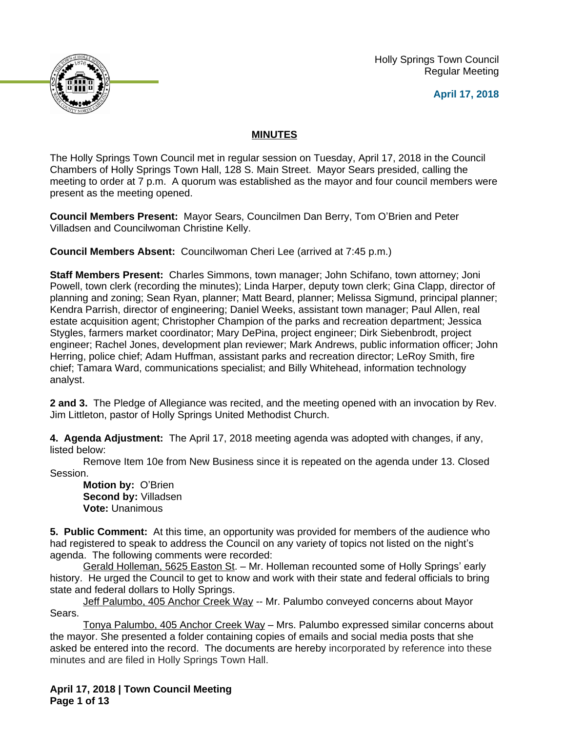Holly Springs Town Council Regular Meeting

**April 17, 2018**



# **MINUTES**

The Holly Springs Town Council met in regular session on Tuesday, April 17, 2018 in the Council Chambers of Holly Springs Town Hall, 128 S. Main Street. Mayor Sears presided, calling the meeting to order at 7 p.m. A quorum was established as the mayor and four council members were present as the meeting opened.

**Council Members Present:** Mayor Sears, Councilmen Dan Berry, Tom O'Brien and Peter Villadsen and Councilwoman Christine Kelly.

**Council Members Absent:** Councilwoman Cheri Lee (arrived at 7:45 p.m.)

**Staff Members Present:** Charles Simmons, town manager; John Schifano, town attorney; Joni Powell, town clerk (recording the minutes); Linda Harper, deputy town clerk; Gina Clapp, director of planning and zoning; Sean Ryan, planner; Matt Beard, planner; Melissa Sigmund, principal planner; Kendra Parrish, director of engineering; Daniel Weeks, assistant town manager; Paul Allen, real estate acquisition agent; Christopher Champion of the parks and recreation department; Jessica Stygles, farmers market coordinator; Mary DePina, project engineer; Dirk Siebenbrodt, project engineer; Rachel Jones, development plan reviewer; Mark Andrews, public information officer; John Herring, police chief; Adam Huffman, assistant parks and recreation director; LeRoy Smith, fire chief; Tamara Ward, communications specialist; and Billy Whitehead, information technology analyst.

**2 and 3.** The Pledge of Allegiance was recited, and the meeting opened with an invocation by Rev. Jim Littleton, pastor of Holly Springs United Methodist Church.

**4. Agenda Adjustment:** The April 17, 2018 meeting agenda was adopted with changes, if any, listed below:

Remove Item 10e from New Business since it is repeated on the agenda under 13. Closed Session.

**Motion by:** O'Brien **Second by:** Villadsen **Vote:** Unanimous

**5. Public Comment:** At this time, an opportunity was provided for members of the audience who had registered to speak to address the Council on any variety of topics not listed on the night's agenda. The following comments were recorded:

Gerald Holleman, 5625 Easton St. – Mr. Holleman recounted some of Holly Springs' early history. He urged the Council to get to know and work with their state and federal officials to bring state and federal dollars to Holly Springs.

Jeff Palumbo, 405 Anchor Creek Way -- Mr. Palumbo conveyed concerns about Mayor Sears.

Tonya Palumbo, 405 Anchor Creek Way – Mrs. Palumbo expressed similar concerns about the mayor. She presented a folder containing copies of emails and social media posts that she asked be entered into the record. The documents are hereby incorporated by reference into these minutes and are filed in Holly Springs Town Hall.

**April 17, 2018 | Town Council Meeting Page 1 of 13**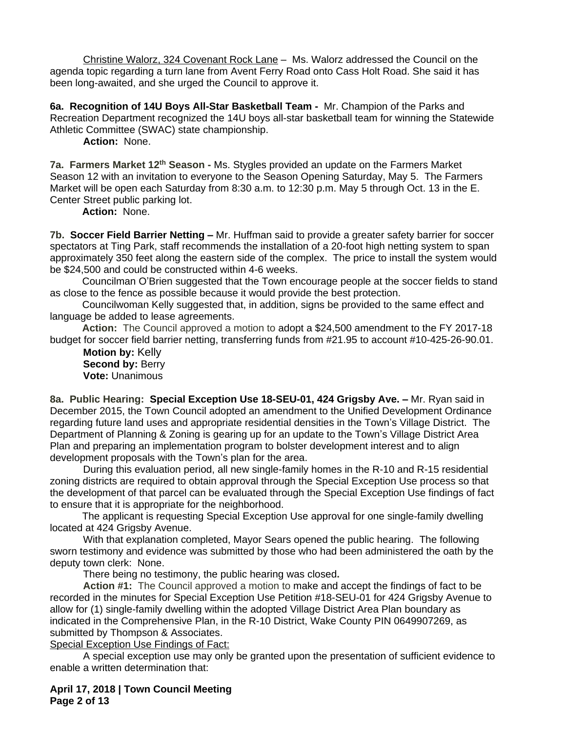Christine Walorz, 324 Covenant Rock Lane – Ms. Walorz addressed the Council on the agenda topic regarding a turn lane from Avent Ferry Road onto Cass Holt Road. She said it has been long-awaited, and she urged the Council to approve it.

**6a. Recognition of 14U Boys All-Star Basketball Team -** Mr. Champion of the Parks and Recreation Department recognized the 14U boys all-star basketball team for winning the Statewide Athletic Committee (SWAC) state championship.

**Action:** None.

**7a. Farmers Market 12th Season -** Ms. Stygles provided an update on the Farmers Market Season 12 with an invitation to everyone to the Season Opening Saturday, May 5. The Farmers Market will be open each Saturday from 8:30 a.m. to 12:30 p.m. May 5 through Oct. 13 in the E. Center Street public parking lot.

**Action:** None.

**7b. Soccer Field Barrier Netting –** Mr. Huffman said to provide a greater safety barrier for soccer spectators at Ting Park, staff recommends the installation of a 20-foot high netting system to span approximately 350 feet along the eastern side of the complex. The price to install the system would be \$24,500 and could be constructed within 4-6 weeks.

Councilman O'Brien suggested that the Town encourage people at the soccer fields to stand as close to the fence as possible because it would provide the best protection.

Councilwoman Kelly suggested that, in addition, signs be provided to the same effect and language be added to lease agreements.

**Action:** The Council approved a motion to adopt a \$24,500 amendment to the FY 2017-18 budget for soccer field barrier netting, transferring funds from #21.95 to account #10-425-26-90.01.

**Motion by:** Kelly **Second by: Berry Vote:** Unanimous

**8a. Public Hearing: Special Exception Use 18-SEU-01, 424 Grigsby Ave. –** Mr. Ryan said in December 2015, the Town Council adopted an amendment to the Unified Development Ordinance regarding future land uses and appropriate residential densities in the Town's Village District. The Department of Planning & Zoning is gearing up for an update to the Town's Village District Area Plan and preparing an implementation program to bolster development interest and to align development proposals with the Town's plan for the area.

During this evaluation period, all new single-family homes in the R-10 and R-15 residential zoning districts are required to obtain approval through the Special Exception Use process so that the development of that parcel can be evaluated through the Special Exception Use findings of fact to ensure that it is appropriate for the neighborhood.

The applicant is requesting Special Exception Use approval for one single-family dwelling located at 424 Grigsby Avenue.

With that explanation completed, Mayor Sears opened the public hearing. The following sworn testimony and evidence was submitted by those who had been administered the oath by the deputy town clerk: None.

There being no testimony, the public hearing was closed**.**

**Action #1:** The Council approved a motion to make and accept the findings of fact to be recorded in the minutes for Special Exception Use Petition #18-SEU-01 for 424 Grigsby Avenue to allow for (1) single-family dwelling within the adopted Village District Area Plan boundary as indicated in the Comprehensive Plan, in the R-10 District, Wake County PIN 0649907269, as submitted by Thompson & Associates.

Special Exception Use Findings of Fact:

A special exception use may only be granted upon the presentation of sufficient evidence to enable a written determination that:

**April 17, 2018 | Town Council Meeting Page 2 of 13**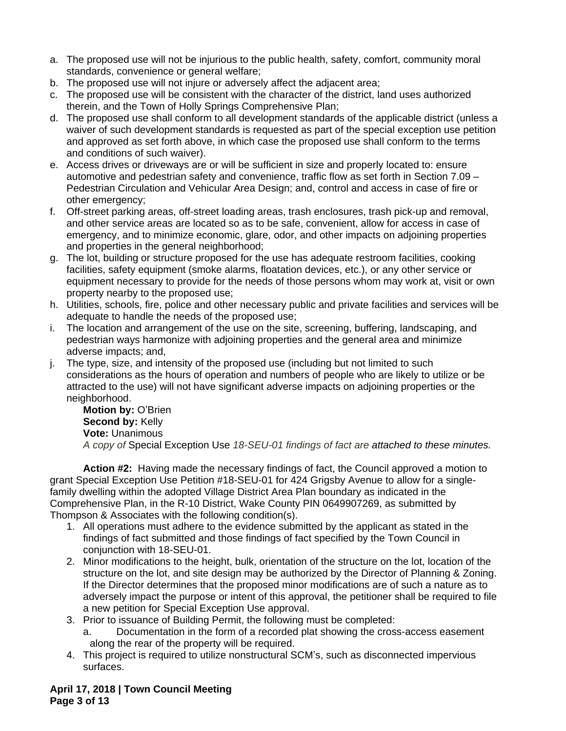- a. The proposed use will not be injurious to the public health, safety, comfort, community moral standards, convenience or general welfare;
- b. The proposed use will not injure or adversely affect the adjacent area;
- c. The proposed use will be consistent with the character of the district, land uses authorized therein, and the Town of Holly Springs Comprehensive Plan;
- d. The proposed use shall conform to all development standards of the applicable district (unless a waiver of such development standards is requested as part of the special exception use petition and approved as set forth above, in which case the proposed use shall conform to the terms and conditions of such waiver).
- e. Access drives or driveways are or will be sufficient in size and properly located to: ensure automotive and pedestrian safety and convenience, traffic flow as set forth in Section 7.09 – Pedestrian Circulation and Vehicular Area Design; and, control and access in case of fire or other emergency;
- f. Off-street parking areas, off-street loading areas, trash enclosures, trash pick-up and removal, and other service areas are located so as to be safe, convenient, allow for access in case of emergency, and to minimize economic, glare, odor, and other impacts on adjoining properties and properties in the general neighborhood;
- g. The lot, building or structure proposed for the use has adequate restroom facilities, cooking facilities, safety equipment (smoke alarms, floatation devices, etc.), or any other service or equipment necessary to provide for the needs of those persons whom may work at, visit or own property nearby to the proposed use;
- h. Utilities, schools, fire, police and other necessary public and private facilities and services will be adequate to handle the needs of the proposed use;
- i. The location and arrangement of the use on the site, screening, buffering, landscaping, and pedestrian ways harmonize with adjoining properties and the general area and minimize adverse impacts; and,
- j. The type, size, and intensity of the proposed use (including but not limited to such considerations as the hours of operation and numbers of people who are likely to utilize or be attracted to the use) will not have significant adverse impacts on adjoining properties or the neighborhood.

**Motion by:** O'Brien **Second by: Kelly Vote:** Unanimous *A copy of* Special Exception Use *18-SEU-01 findings of fact are attached to these minutes.*

**Action #2:** Having made the necessary findings of fact, the Council approved a motion to grant Special Exception Use Petition #18-SEU-01 for 424 Grigsby Avenue to allow for a singlefamily dwelling within the adopted Village District Area Plan boundary as indicated in the Comprehensive Plan, in the R-10 District, Wake County PIN 0649907269, as submitted by Thompson & Associates with the following condition(s).

- 1. All operations must adhere to the evidence submitted by the applicant as stated in the findings of fact submitted and those findings of fact specified by the Town Council in conjunction with 18-SEU-01.
- 2. Minor modifications to the height, bulk, orientation of the structure on the lot, location of the structure on the lot, and site design may be authorized by the Director of Planning & Zoning. If the Director determines that the proposed minor modifications are of such a nature as to adversely impact the purpose or intent of this approval, the petitioner shall be required to file a new petition for Special Exception Use approval.
- 3. Prior to issuance of Building Permit, the following must be completed:
	- a. Documentation in the form of a recorded plat showing the cross-access easement along the rear of the property will be required.
- 4. This project is required to utilize nonstructural SCM's, such as disconnected impervious surfaces.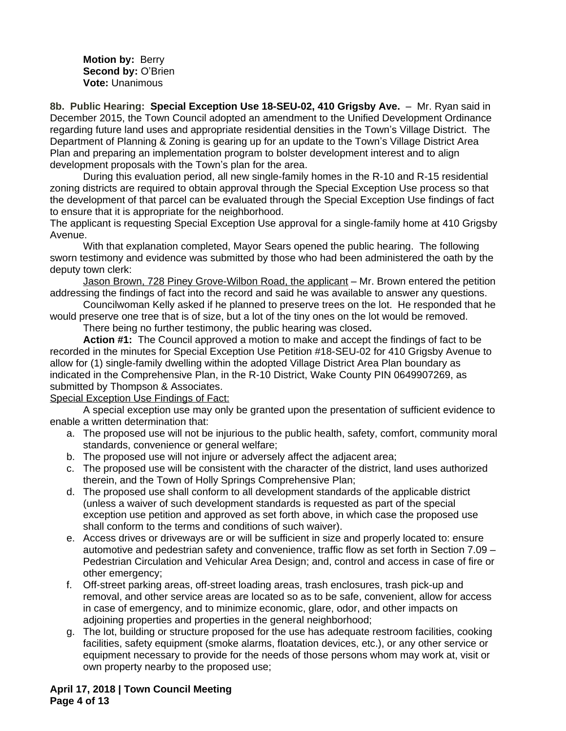**Motion by:** Berry **Second by:** O'Brien **Vote:** Unanimous

8b. Public Hearing: Special Exception Use 18-SEU-02, 410 Grigsby Ave. - Mr. Ryan said in December 2015, the Town Council adopted an amendment to the Unified Development Ordinance regarding future land uses and appropriate residential densities in the Town's Village District. The Department of Planning & Zoning is gearing up for an update to the Town's Village District Area Plan and preparing an implementation program to bolster development interest and to align development proposals with the Town's plan for the area.

During this evaluation period, all new single-family homes in the R-10 and R-15 residential zoning districts are required to obtain approval through the Special Exception Use process so that the development of that parcel can be evaluated through the Special Exception Use findings of fact to ensure that it is appropriate for the neighborhood.

The applicant is requesting Special Exception Use approval for a single-family home at 410 Grigsby Avenue.

With that explanation completed, Mayor Sears opened the public hearing. The following sworn testimony and evidence was submitted by those who had been administered the oath by the deputy town clerk:

Jason Brown, 728 Piney Grove-Wilbon Road, the applicant – Mr. Brown entered the petition addressing the findings of fact into the record and said he was available to answer any questions.

Councilwoman Kelly asked if he planned to preserve trees on the lot. He responded that he would preserve one tree that is of size, but a lot of the tiny ones on the lot would be removed.

There being no further testimony, the public hearing was closed**.**

**Action #1:** The Council approved a motion to make and accept the findings of fact to be recorded in the minutes for Special Exception Use Petition #18-SEU-02 for 410 Grigsby Avenue to allow for (1) single-family dwelling within the adopted Village District Area Plan boundary as indicated in the Comprehensive Plan, in the R-10 District, Wake County PIN 0649907269, as submitted by Thompson & Associates.

#### Special Exception Use Findings of Fact:

A special exception use may only be granted upon the presentation of sufficient evidence to enable a written determination that:

- a. The proposed use will not be injurious to the public health, safety, comfort, community moral standards, convenience or general welfare;
- b. The proposed use will not injure or adversely affect the adjacent area;
- c. The proposed use will be consistent with the character of the district, land uses authorized therein, and the Town of Holly Springs Comprehensive Plan;
- d. The proposed use shall conform to all development standards of the applicable district (unless a waiver of such development standards is requested as part of the special exception use petition and approved as set forth above, in which case the proposed use shall conform to the terms and conditions of such waiver).
- e. Access drives or driveways are or will be sufficient in size and properly located to: ensure automotive and pedestrian safety and convenience, traffic flow as set forth in Section 7.09 – Pedestrian Circulation and Vehicular Area Design; and, control and access in case of fire or other emergency;
- f. Off-street parking areas, off-street loading areas, trash enclosures, trash pick-up and removal, and other service areas are located so as to be safe, convenient, allow for access in case of emergency, and to minimize economic, glare, odor, and other impacts on adjoining properties and properties in the general neighborhood;
- g. The lot, building or structure proposed for the use has adequate restroom facilities, cooking facilities, safety equipment (smoke alarms, floatation devices, etc.), or any other service or equipment necessary to provide for the needs of those persons whom may work at, visit or own property nearby to the proposed use;

**April 17, 2018 | Town Council Meeting Page 4 of 13**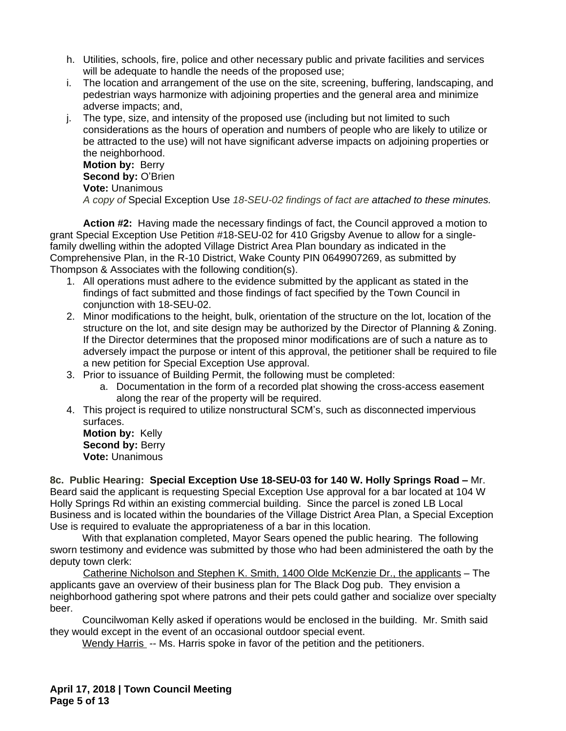- h. Utilities, schools, fire, police and other necessary public and private facilities and services will be adequate to handle the needs of the proposed use;
- i. The location and arrangement of the use on the site, screening, buffering, landscaping, and pedestrian ways harmonize with adjoining properties and the general area and minimize adverse impacts; and,
- j. The type, size, and intensity of the proposed use (including but not limited to such considerations as the hours of operation and numbers of people who are likely to utilize or be attracted to the use) will not have significant adverse impacts on adjoining properties or the neighborhood. **Motion by:** Berry **Second by: O'Brien**

**Vote:** Unanimous

*A copy of* Special Exception Use *18-SEU-02 findings of fact are attached to these minutes.*

**Action #2:** Having made the necessary findings of fact, the Council approved a motion to grant Special Exception Use Petition #18-SEU-02 for 410 Grigsby Avenue to allow for a singlefamily dwelling within the adopted Village District Area Plan boundary as indicated in the Comprehensive Plan, in the R-10 District, Wake County PIN 0649907269, as submitted by Thompson & Associates with the following condition(s).

- 1. All operations must adhere to the evidence submitted by the applicant as stated in the findings of fact submitted and those findings of fact specified by the Town Council in conjunction with 18-SEU-02.
- 2. Minor modifications to the height, bulk, orientation of the structure on the lot, location of the structure on the lot, and site design may be authorized by the Director of Planning & Zoning. If the Director determines that the proposed minor modifications are of such a nature as to adversely impact the purpose or intent of this approval, the petitioner shall be required to file a new petition for Special Exception Use approval.
- 3. Prior to issuance of Building Permit, the following must be completed:
	- a. Documentation in the form of a recorded plat showing the cross-access easement along the rear of the property will be required.
- 4. This project is required to utilize nonstructural SCM's, such as disconnected impervious surfaces.

**Motion by:** Kelly **Second by: Berry Vote:** Unanimous

**8c. Public Hearing: Special Exception Use 18-SEU-03 for 140 W. Holly Springs Road –** Mr. Beard said the applicant is requesting Special Exception Use approval for a bar located at 104 W Holly Springs Rd within an existing commercial building. Since the parcel is zoned LB Local Business and is located within the boundaries of the Village District Area Plan, a Special Exception Use is required to evaluate the appropriateness of a bar in this location.

With that explanation completed, Mayor Sears opened the public hearing. The following sworn testimony and evidence was submitted by those who had been administered the oath by the deputy town clerk:

Catherine Nicholson and Stephen K. Smith, 1400 Olde McKenzie Dr., the applicants – The applicants gave an overview of their business plan for The Black Dog pub. They envision a neighborhood gathering spot where patrons and their pets could gather and socialize over specialty beer.

Councilwoman Kelly asked if operations would be enclosed in the building. Mr. Smith said they would except in the event of an occasional outdoor special event.

Wendy Harris -- Ms. Harris spoke in favor of the petition and the petitioners.

**April 17, 2018 | Town Council Meeting Page 5 of 13**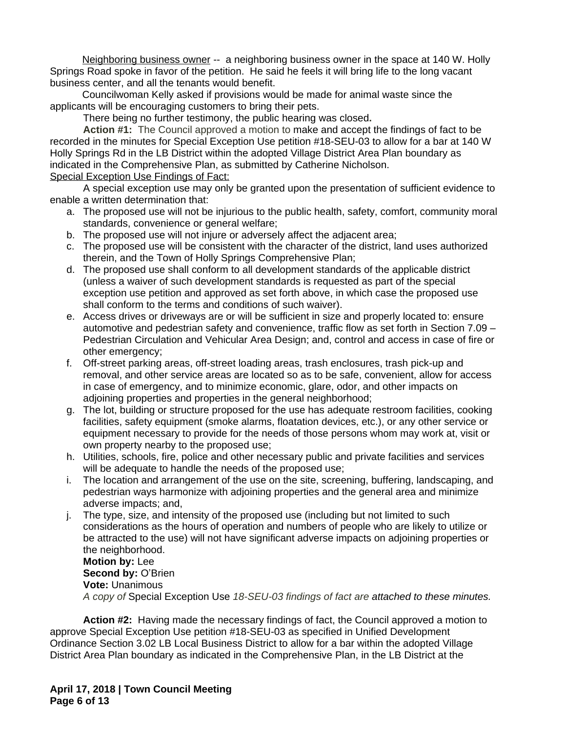Neighboring business owner -- a neighboring business owner in the space at 140 W. Holly Springs Road spoke in favor of the petition. He said he feels it will bring life to the long vacant business center, and all the tenants would benefit.

Councilwoman Kelly asked if provisions would be made for animal waste since the applicants will be encouraging customers to bring their pets.

There being no further testimony, the public hearing was closed**.**

**Action #1:** The Council approved a motion to make and accept the findings of fact to be recorded in the minutes for Special Exception Use petition #18-SEU-03 to allow for a bar at 140 W Holly Springs Rd in the LB District within the adopted Village District Area Plan boundary as indicated in the Comprehensive Plan, as submitted by Catherine Nicholson. Special Exception Use Findings of Fact:

A special exception use may only be granted upon the presentation of sufficient evidence to enable a written determination that:

- a. The proposed use will not be injurious to the public health, safety, comfort, community moral standards, convenience or general welfare;
- b. The proposed use will not injure or adversely affect the adjacent area;
- c. The proposed use will be consistent with the character of the district, land uses authorized therein, and the Town of Holly Springs Comprehensive Plan;
- d. The proposed use shall conform to all development standards of the applicable district (unless a waiver of such development standards is requested as part of the special exception use petition and approved as set forth above, in which case the proposed use shall conform to the terms and conditions of such waiver).
- e. Access drives or driveways are or will be sufficient in size and properly located to: ensure automotive and pedestrian safety and convenience, traffic flow as set forth in Section 7.09 – Pedestrian Circulation and Vehicular Area Design; and, control and access in case of fire or other emergency;
- f. Off-street parking areas, off-street loading areas, trash enclosures, trash pick-up and removal, and other service areas are located so as to be safe, convenient, allow for access in case of emergency, and to minimize economic, glare, odor, and other impacts on adjoining properties and properties in the general neighborhood;
- g. The lot, building or structure proposed for the use has adequate restroom facilities, cooking facilities, safety equipment (smoke alarms, floatation devices, etc.), or any other service or equipment necessary to provide for the needs of those persons whom may work at, visit or own property nearby to the proposed use;
- h. Utilities, schools, fire, police and other necessary public and private facilities and services will be adequate to handle the needs of the proposed use;
- i. The location and arrangement of the use on the site, screening, buffering, landscaping, and pedestrian ways harmonize with adjoining properties and the general area and minimize adverse impacts; and,
- j. The type, size, and intensity of the proposed use (including but not limited to such considerations as the hours of operation and numbers of people who are likely to utilize or be attracted to the use) will not have significant adverse impacts on adjoining properties or the neighborhood.

**Motion by:** Lee **Second by: O'Brien Vote:** Unanimous *A copy of* Special Exception Use *18-SEU-03 findings of fact are attached to these minutes.*

**Action #2:** Having made the necessary findings of fact, the Council approved a motion to approve Special Exception Use petition #18-SEU-03 as specified in Unified Development Ordinance Section 3.02 LB Local Business District to allow for a bar within the adopted Village District Area Plan boundary as indicated in the Comprehensive Plan, in the LB District at the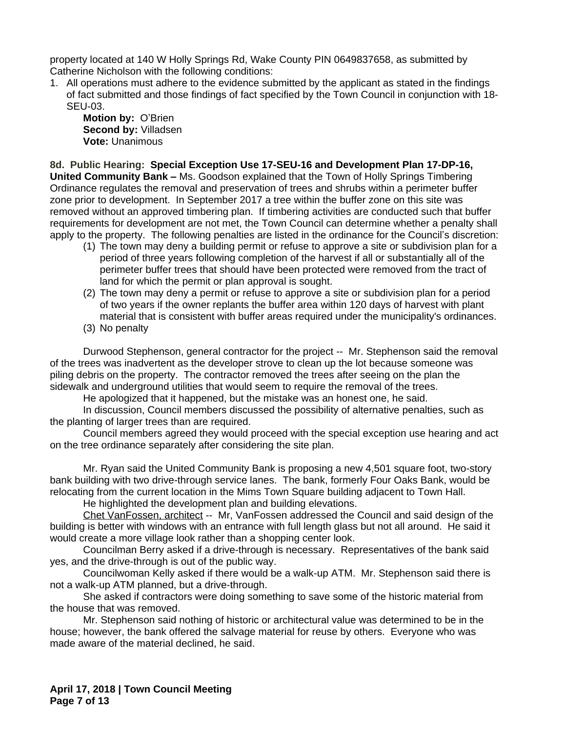property located at 140 W Holly Springs Rd, Wake County PIN 0649837658, as submitted by Catherine Nicholson with the following conditions:

1. All operations must adhere to the evidence submitted by the applicant as stated in the findings of fact submitted and those findings of fact specified by the Town Council in conjunction with 18- SEU-03.

**Motion by:** O'Brien **Second by:** Villadsen **Vote:** Unanimous

**8d. Public Hearing: Special Exception Use 17-SEU-16 and Development Plan 17-DP-16, United Community Bank –** Ms. Goodson explained that the Town of Holly Springs Timbering Ordinance regulates the removal and preservation of trees and shrubs within a perimeter buffer zone prior to development. In September 2017 a tree within the buffer zone on this site was removed without an approved timbering plan. If timbering activities are conducted such that buffer requirements for development are not met, the Town Council can determine whether a penalty shall apply to the property. The following penalties are listed in the ordinance for the Council's discretion:

- (1) The town may deny a building permit or refuse to approve a site or subdivision plan for a period of three years following completion of the harvest if all or substantially all of the perimeter buffer trees that should have been protected were removed from the tract of land for which the permit or plan approval is sought.
- (2) The town may deny a permit or refuse to approve a site or subdivision plan for a period of two years if the owner replants the buffer area within 120 days of harvest with plant material that is consistent with buffer areas required under the municipality's ordinances.
- (3) No penalty

Durwood Stephenson, general contractor for the project -- Mr. Stephenson said the removal of the trees was inadvertent as the developer strove to clean up the lot because someone was piling debris on the property. The contractor removed the trees after seeing on the plan the sidewalk and underground utilities that would seem to require the removal of the trees.

He apologized that it happened, but the mistake was an honest one, he said.

In discussion, Council members discussed the possibility of alternative penalties, such as the planting of larger trees than are required.

Council members agreed they would proceed with the special exception use hearing and act on the tree ordinance separately after considering the site plan.

Mr. Ryan said the United Community Bank is proposing a new 4,501 square foot, two-story bank building with two drive-through service lanes. The bank, formerly Four Oaks Bank, would be relocating from the current location in the Mims Town Square building adjacent to Town Hall.

He highlighted the development plan and building elevations.

Chet VanFossen, architect -- Mr, VanFossen addressed the Council and said design of the building is better with windows with an entrance with full length glass but not all around. He said it would create a more village look rather than a shopping center look.

Councilman Berry asked if a drive-through is necessary. Representatives of the bank said yes, and the drive-through is out of the public way.

Councilwoman Kelly asked if there would be a walk-up ATM. Mr. Stephenson said there is not a walk-up ATM planned, but a drive-through.

She asked if contractors were doing something to save some of the historic material from the house that was removed.

Mr. Stephenson said nothing of historic or architectural value was determined to be in the house; however, the bank offered the salvage material for reuse by others. Everyone who was made aware of the material declined, he said.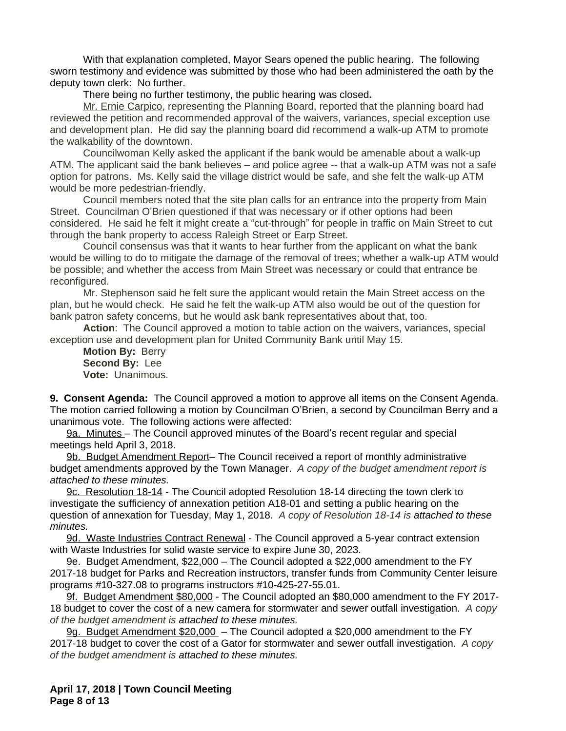With that explanation completed, Mayor Sears opened the public hearing. The following sworn testimony and evidence was submitted by those who had been administered the oath by the deputy town clerk: No further.

There being no further testimony, the public hearing was closed**.**

Mr. Ernie Carpico, representing the Planning Board, reported that the planning board had reviewed the petition and recommended approval of the waivers, variances, special exception use and development plan. He did say the planning board did recommend a walk-up ATM to promote the walkability of the downtown.

Councilwoman Kelly asked the applicant if the bank would be amenable about a walk-up ATM. The applicant said the bank believes – and police agree -- that a walk-up ATM was not a safe option for patrons. Ms. Kelly said the village district would be safe, and she felt the walk-up ATM would be more pedestrian-friendly.

Council members noted that the site plan calls for an entrance into the property from Main Street. Councilman O'Brien questioned if that was necessary or if other options had been considered. He said he felt it might create a "cut-through" for people in traffic on Main Street to cut through the bank property to access Raleigh Street or Earp Street.

Council consensus was that it wants to hear further from the applicant on what the bank would be willing to do to mitigate the damage of the removal of trees; whether a walk-up ATM would be possible; and whether the access from Main Street was necessary or could that entrance be reconfigured.

Mr. Stephenson said he felt sure the applicant would retain the Main Street access on the plan, but he would check. He said he felt the walk-up ATM also would be out of the question for bank patron safety concerns, but he would ask bank representatives about that, too.

**Action**: The Council approved a motion to table action on the waivers, variances, special exception use and development plan for United Community Bank until May 15.

**Motion By:** Berry **Second By:** Lee **Vote:** Unanimous.

**9. Consent Agenda:** The Council approved a motion to approve all items on the Consent Agenda. The motion carried following a motion by Councilman O'Brien, a second by Councilman Berry and a unanimous vote. The following actions were affected:

9a. Minutes – The Council approved minutes of the Board's recent regular and special meetings held April 3, 2018.

9b. Budget Amendment Report- The Council received a report of monthly administrative budget amendments approved by the Town Manager. *A copy of the budget amendment report is attached to these minutes.*

9c. Resolution 18-14 - The Council adopted Resolution 18-14 directing the town clerk to investigate the sufficiency of annexation petition A18-01 and setting a public hearing on the question of annexation for Tuesday, May 1, 2018. *A copy of Resolution 18-14 is attached to these minutes.* 

9d. Waste Industries Contract Renewal - The Council approved a 5-year contract extension with Waste Industries for solid waste service to expire June 30, 2023.

9e. Budget Amendment, \$22,000 – The Council adopted a \$22,000 amendment to the FY 2017-18 budget for Parks and Recreation instructors, transfer funds from Community Center leisure programs #10-327.08 to programs instructors #10-425-27-55.01.

9f. Budget Amendment \$80,000 - The Council adopted an \$80,000 amendment to the FY 2017- 18 budget to cover the cost of a new camera for stormwater and sewer outfall investigation. *A copy of the budget amendment is attached to these minutes.*

9g. Budget Amendment \$20,000 – The Council adopted a \$20,000 amendment to the FY 2017-18 budget to cover the cost of a Gator for stormwater and sewer outfall investigation. *A copy of the budget amendment is attached to these minutes.*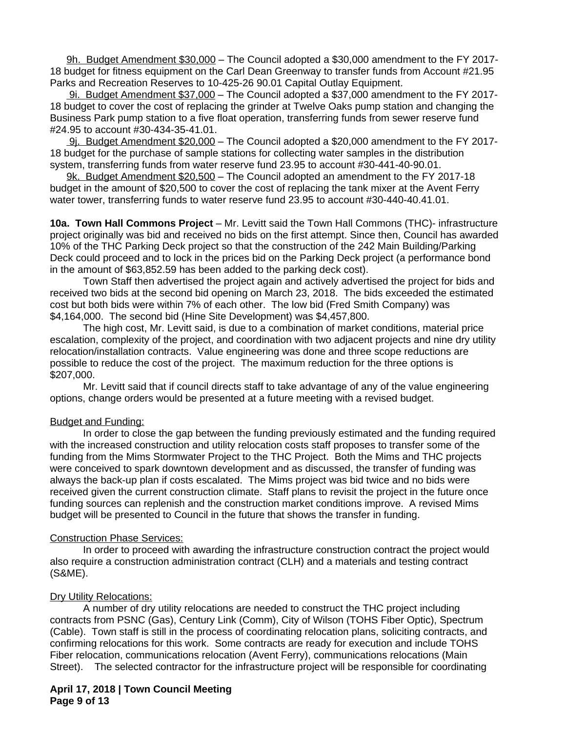9h. Budget Amendment \$30,000 – The Council adopted a \$30,000 amendment to the FY 2017- 18 budget for fitness equipment on the Carl Dean Greenway to transfer funds from Account #21.95 Parks and Recreation Reserves to 10-425-26 90.01 Capital Outlay Equipment.

 9i. Budget Amendment \$37,000 – The Council adopted a \$37,000 amendment to the FY 2017- 18 budget to cover the cost of replacing the grinder at Twelve Oaks pump station and changing the Business Park pump station to a five float operation, transferring funds from sewer reserve fund #24.95 to account #30-434-35-41.01.

9j. Budget Amendment \$20,000 – The Council adopted a \$20,000 amendment to the FY 2017- 18 budget for the purchase of sample stations for collecting water samples in the distribution system, transferring funds from water reserve fund 23.95 to account #30-441-40-90.01.

9k. Budget Amendment \$20,500 – The Council adopted an amendment to the FY 2017-18 budget in the amount of \$20,500 to cover the cost of replacing the tank mixer at the Avent Ferry water tower, transferring funds to water reserve fund 23.95 to account #30-440-40.41.01.

**10a. Town Hall Commons Project** – Mr. Levitt said the Town Hall Commons (THC)- infrastructure project originally was bid and received no bids on the first attempt. Since then, Council has awarded 10% of the THC Parking Deck project so that the construction of the 242 Main Building/Parking Deck could proceed and to lock in the prices bid on the Parking Deck project (a performance bond in the amount of \$63,852.59 has been added to the parking deck cost).

Town Staff then advertised the project again and actively advertised the project for bids and received two bids at the second bid opening on March 23, 2018. The bids exceeded the estimated cost but both bids were within 7% of each other. The low bid (Fred Smith Company) was \$4,164,000. The second bid (Hine Site Development) was \$4,457,800.

The high cost, Mr. Levitt said, is due to a combination of market conditions, material price escalation, complexity of the project, and coordination with two adjacent projects and nine dry utility relocation/installation contracts. Value engineering was done and three scope reductions are possible to reduce the cost of the project. The maximum reduction for the three options is \$207,000.

Mr. Levitt said that if council directs staff to take advantage of any of the value engineering options, change orders would be presented at a future meeting with a revised budget.

#### Budget and Funding:

In order to close the gap between the funding previously estimated and the funding required with the increased construction and utility relocation costs staff proposes to transfer some of the funding from the Mims Stormwater Project to the THC Project. Both the Mims and THC projects were conceived to spark downtown development and as discussed, the transfer of funding was always the back-up plan if costs escalated. The Mims project was bid twice and no bids were received given the current construction climate. Staff plans to revisit the project in the future once funding sources can replenish and the construction market conditions improve. A revised Mims budget will be presented to Council in the future that shows the transfer in funding.

#### Construction Phase Services:

In order to proceed with awarding the infrastructure construction contract the project would also require a construction administration contract (CLH) and a materials and testing contract (S&ME).

## Dry Utility Relocations:

A number of dry utility relocations are needed to construct the THC project including contracts from PSNC (Gas), Century Link (Comm), City of Wilson (TOHS Fiber Optic), Spectrum (Cable). Town staff is still in the process of coordinating relocation plans, soliciting contracts, and confirming relocations for this work. Some contracts are ready for execution and include TOHS Fiber relocation, communications relocation (Avent Ferry), communications relocations (Main Street). The selected contractor for the infrastructure project will be responsible for coordinating

## **April 17, 2018 | Town Council Meeting Page 9 of 13**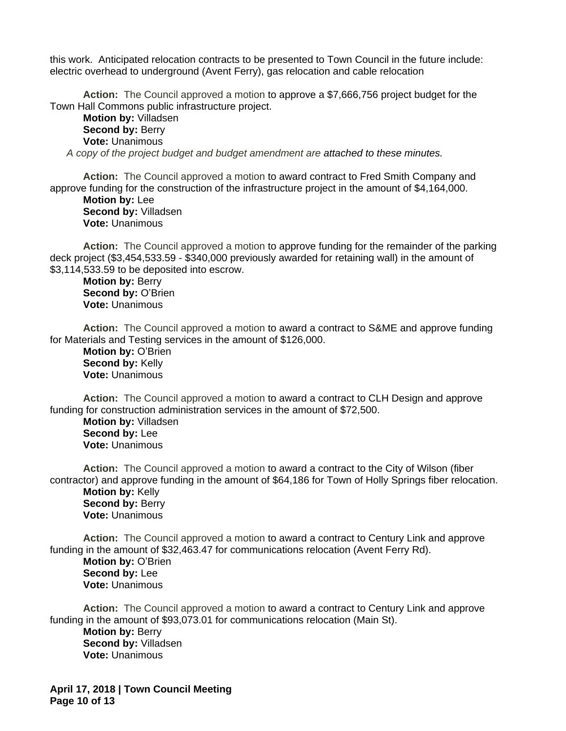this work. Anticipated relocation contracts to be presented to Town Council in the future include: electric overhead to underground (Avent Ferry), gas relocation and cable relocation

**Action:** The Council approved a motion to approve a \$7,666,756 project budget for the Town Hall Commons public infrastructure project.

**Motion by:** Villadsen **Second by: Berry Vote:** Unanimous *A copy of the project budget and budget amendment are attached to these minutes.*

**Action:** The Council approved a motion to award contract to Fred Smith Company and approve funding for the construction of the infrastructure project in the amount of \$4,164,000.

**Motion by:** Lee **Second by:** Villadsen **Vote:** Unanimous

**Action:** The Council approved a motion to approve funding for the remainder of the parking deck project (\$3,454,533.59 - \$340,000 previously awarded for retaining wall) in the amount of \$3,114,533.59 to be deposited into escrow.

**Motion by:** Berry **Second by:** O'Brien **Vote:** Unanimous

**Action:** The Council approved a motion to award a contract to S&ME and approve funding for Materials and Testing services in the amount of \$126,000.

**Motion by:** O'Brien **Second by: Kelly Vote:** Unanimous

**Action:** The Council approved a motion to award a contract to CLH Design and approve funding for construction administration services in the amount of \$72,500.

**Motion by:** Villadsen **Second by:** Lee **Vote:** Unanimous

**Action:** The Council approved a motion to award a contract to the City of Wilson (fiber contractor) and approve funding in the amount of \$64,186 for Town of Holly Springs fiber relocation. **Motion by:** Kelly Second by: Berry **Vote:** Unanimous

**Action:** The Council approved a motion to award a contract to Century Link and approve funding in the amount of \$32,463.47 for communications relocation (Avent Ferry Rd).

**Motion by:** O'Brien **Second by:** Lee **Vote:** Unanimous

**Action:** The Council approved a motion to award a contract to Century Link and approve funding in the amount of \$93,073.01 for communications relocation (Main St). **Motion by:** Berry **Second by:** Villadsen **Vote:** Unanimous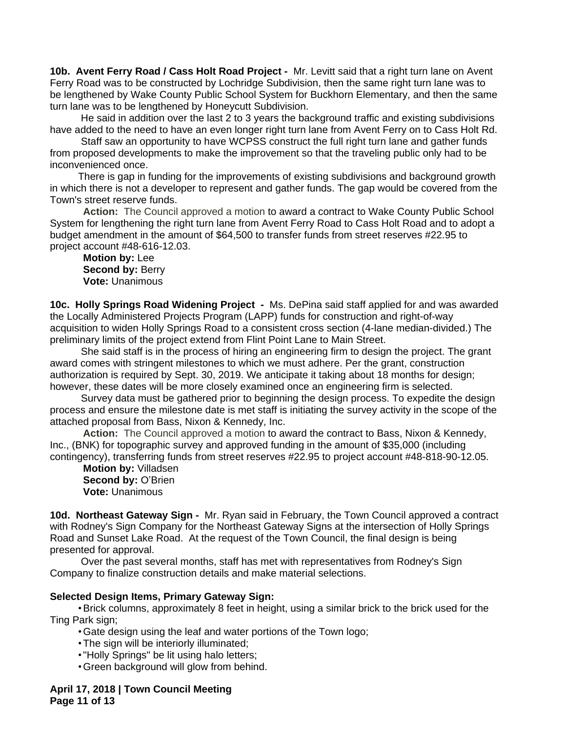**10b. Avent Ferry Road / Cass Holt Road Project -** Mr. Levitt said that a right turn lane on Avent Ferry Road was to be constructed by Lochridge Subdivision, then the same right turn lane was to be lengthened by Wake County Public School System for Buckhorn Elementary, and then the same turn lane was to be lengthened by Honeycutt Subdivision.

 He said in addition over the last 2 to 3 years the background traffic and existing subdivisions have added to the need to have an even longer right turn lane from Avent Ferry on to Cass Holt Rd.

 Staff saw an opportunity to have WCPSS construct the full right turn lane and gather funds from proposed developments to make the improvement so that the traveling public only had to be inconvenienced once.

 There is gap in funding for the improvements of existing subdivisions and background growth in which there is not a developer to represent and gather funds. The gap would be covered from the Town's street reserve funds.

**Action:** The Council approved a motion to award a contract to Wake County Public School System for lengthening the right turn lane from Avent Ferry Road to Cass Holt Road and to adopt a budget amendment in the amount of \$64,500 to transfer funds from street reserves #22.95 to project account #48-616-12.03.

**Motion by:** Lee **Second by: Berry Vote:** Unanimous

**10c. Holly Springs Road Widening Project -** Ms. DePina said staff applied for and was awarded the Locally Administered Projects Program (LAPP) funds for construction and right-of-way acquisition to widen Holly Springs Road to a consistent cross section (4-lane median-divided.) The preliminary limits of the project extend from Flint Point Lane to Main Street.

 She said staff is in the process of hiring an engineering firm to design the project. The grant award comes with stringent milestones to which we must adhere. Per the grant, construction authorization is required by Sept. 30, 2019. We anticipate it taking about 18 months for design; however, these dates will be more closely examined once an engineering firm is selected.

 Survey data must be gathered prior to beginning the design process. To expedite the design process and ensure the milestone date is met staff is initiating the survey activity in the scope of the attached proposal from Bass, Nixon & Kennedy, Inc.

**Action:** The Council approved a motion to award the contract to Bass, Nixon & Kennedy, Inc., (BNK) for topographic survey and approved funding in the amount of \$35,000 (including contingency), transferring funds from street reserves #22.95 to project account #48-818-90-12.05.

**Motion by:** Villadsen **Second by:** O'Brien **Vote:** Unanimous

**10d. Northeast Gateway Sign -** Mr. Ryan said in February, the Town Council approved a contract with Rodney's Sign Company for the Northeast Gateway Signs at the intersection of Holly Springs Road and Sunset Lake Road. At the request of the Town Council, the final design is being presented for approval.

 Over the past several months, staff has met with representatives from Rodney's Sign Company to finalize construction details and make material selections.

## **Selected Design Items, Primary Gateway Sign:**

 •Brick columns, approximately 8 feet in height, using a similar brick to the brick used for the Ting Park sign;

•Gate design using the leaf and water portions of the Town logo;

- •The sign will be interiorly illuminated;
- •"Holly Springs" be lit using halo letters;
- •Green background will glow from behind.

**April 17, 2018 | Town Council Meeting Page 11 of 13**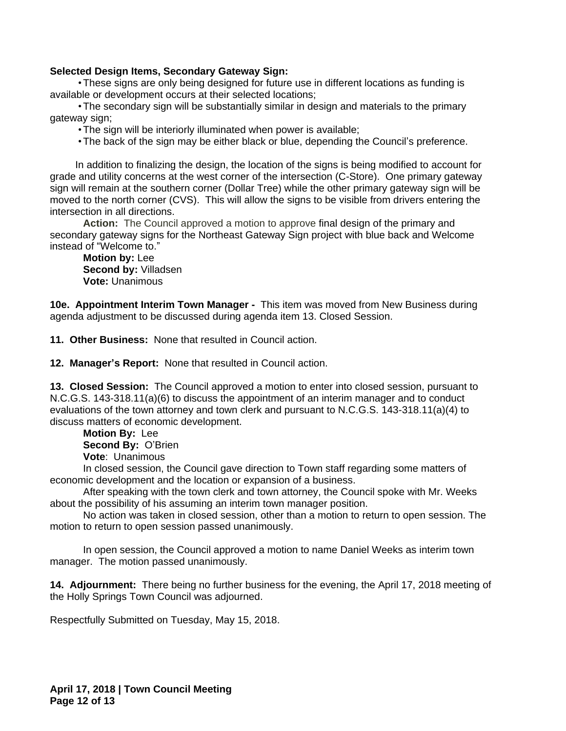## **Selected Design Items, Secondary Gateway Sign:**

 •These signs are only being designed for future use in different locations as funding is available or development occurs at their selected locations;

 •The secondary sign will be substantially similar in design and materials to the primary gateway sign;

•The sign will be interiorly illuminated when power is available;

•The back of the sign may be either black or blue, depending the Council's preference.

 In addition to finalizing the design, the location of the signs is being modified to account for grade and utility concerns at the west corner of the intersection (C-Store). One primary gateway sign will remain at the southern corner (Dollar Tree) while the other primary gateway sign will be moved to the north corner (CVS). This will allow the signs to be visible from drivers entering the intersection in all directions.

**Action:** The Council approved a motion to approve final design of the primary and secondary gateway signs for the Northeast Gateway Sign project with blue back and Welcome instead of "Welcome to."

**Motion by:** Lee **Second by:** Villadsen **Vote:** Unanimous

**10e. Appointment Interim Town Manager -** This item was moved from New Business during agenda adjustment to be discussed during agenda item 13. Closed Session.

**11. Other Business:** None that resulted in Council action.

**12. Manager's Report:** None that resulted in Council action.

**13. Closed Session:** The Council approved a motion to enter into closed session, pursuant to N.C.G.S. 143-318.11(a)(6) to discuss the appointment of an interim manager and to conduct evaluations of the town attorney and town clerk and pursuant to N.C.G.S. 143-318.11(a)(4) to discuss matters of economic development.

**Motion By:** Lee **Second By:** O'Brien **Vote**: Unanimous

In closed session, the Council gave direction to Town staff regarding some matters of economic development and the location or expansion of a business.

After speaking with the town clerk and town attorney, the Council spoke with Mr. Weeks about the possibility of his assuming an interim town manager position.

No action was taken in closed session, other than a motion to return to open session. The motion to return to open session passed unanimously.

In open session, the Council approved a motion to name Daniel Weeks as interim town manager. The motion passed unanimously.

**14. Adjournment:** There being no further business for the evening, the April 17, 2018 meeting of the Holly Springs Town Council was adjourned.

Respectfully Submitted on Tuesday, May 15, 2018.